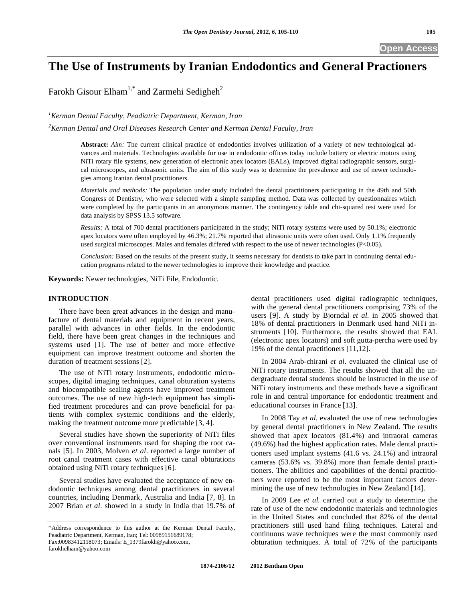# **The Use of Instruments by Iranian Endodontics and General Practioners**

Farokh Gisour Elham<sup>1,\*</sup> and Zarmehi Sedigheh<sup>2</sup>

*1 Kerman Dental Faculty, Peadiatric Department, Kerman, Iran* 

*2 Kerman Dental and Oral Diseases Research Center and Kerman Dental Faculty, Iran*

**Abstract:** *Aim:* The current clinical practice of endodontics involves utilization of a variety of new technological advances and materials. Technologies available for use in endodontic offices today include battery or electric motors using NiTi rotary file systems, new generation of electronic apex locators (EALs), improved digital radiographic sensors, surgical microscopes, and ultrasonic units. The aim of this study was to determine the prevalence and use of newer technologies among Iranian dental practitioners.

*Materials and methods:* The population under study included the dental practitioners participating in the 49th and 50th Congress of Dentistry, who were selected with a simple sampling method. Data was collected by questionnaires which were completed by the participants in an anonymous manner. The contingency table and chi-squared test were used for data analysis by SPSS 13.5 software.

*Results:* A total of 700 dental practitioners participated in the study; NiTi rotary systems were used by 50.1%; electronic apex locators were often employed by 46.3%; 21.7% reported that ultrasonic units were often used. Only 1.1% frequently used surgical microscopes. Males and females differed with respect to the use of newer technologies (P<0.05).

*Conclusion:* Based on the results of the present study, it seems necessary for dentists to take part in continuing dental education programs related to the newer technologies to improve their knowledge and practice.

**Keywords:** Newer technologies, NiTi File, Endodontic.

#### **INTRODUCTION**

There have been great advances in the design and manufacture of dental materials and equipment in recent years, parallel with advances in other fields. In the endodontic field, there have been great changes in the techniques and systems used [1]. The use of better and more effective equipment can improve treatment outcome and shorten the duration of treatment sessions [2].

The use of NiTi rotary instruments, endodontic microscopes, digital imaging techniques, canal obturation systems and biocompatible sealing agents have improved treatment outcomes. The use of new high-tech equipment has simplified treatment procedures and can prove beneficial for patients with complex systemic conditions and the elderly, making the treatment outcome more predictable [3, 4].

Several studies have shown the superiority of NiTi files over conventional instruments used for shaping the root canals [5]. In 2003, Molven *et al*. reported a large number of root canal treatment cases with effective canal obturations obtained using NiTi rotary techniques [6].

Several studies have evaluated the acceptance of new endodontic techniques among dental practitioners in several countries, including Denmark, Australia and India [7, 8]. In 2007 Brian *et al*. showed in a study in India that 19.7% of dental practitioners used digital radiographic techniques, with the general dental practitioners comprising 73% of the users [9]. A study by Bjorndal *et al*. in 2005 showed that 18% of dental practitioners in Denmark used hand NiTi instruments [10]. Furthermore, the results showed that EAL (electronic apex locators) and soft gutta-percha were used by 19% of the dental practitioners [11,12].

In 2004 Arab-chirani *et al*. evaluated the clinical use of NiTi rotary instruments. The results showed that all the undergraduate dental students should be instructed in the use of NiTi rotary instruments and these methods have a significant role in and central importance for endodontic treatment and educational courses in France [13].

In 2008 Tay *et al.* evaluated the use of new technologies by general dental practitioners in New Zealand. The results showed that apex locators (81.4%) and intraoral cameras (49.6%) had the highest application rates. Male dental practitioners used implant systems (41.6 vs. 24.1%) and intraoral cameras (53.6% vs. 39.8%) more than female dental practitioners. The abilities and capabilities of the dental practitioners were reported to be the most important factors determining the use of new technologies in New Zealand [14].

In 2009 Lee *et al.* carried out a study to determine the rate of use of the new endodontic materials and technologies in the United States and concluded that 82% of the dental practitioners still used hand filing techniques. Lateral and continuous wave techniques were the most commonly used obturation techniques. A total of 72% of the participants

<sup>\*</sup>Address correspondence to this author at the Kerman Dental Faculty, Peadiatric Department, Kerman, Iran; Tel: 00989151689178; Fax:00983412118073; Emails: E\_1379farokh@yahoo.com, farokhelham@yahoo.com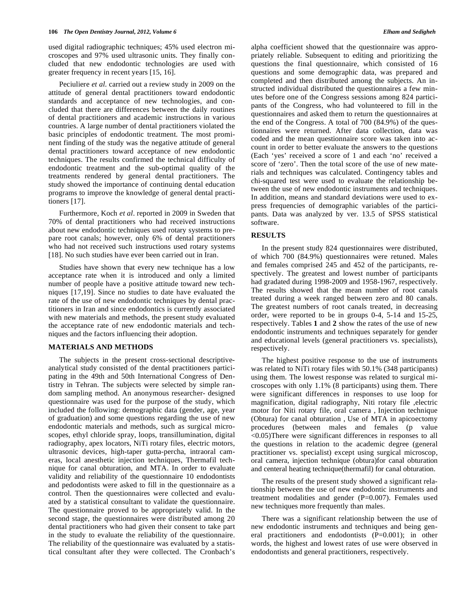used digital radiographic techniques; 45% used electron microscopes and 97% used ultrasonic units. They finally concluded that new endodontic technologies are used with greater frequency in recent years [15, 16].

Peciuliere *et al*. carried out a review study in 2009 on the attitude of general dental practitioners toward endodontic standards and acceptance of new technologies, and concluded that there are differences between the daily routines of dental practitioners and academic instructions in various countries. A large number of dental practitioners violated the basic principles of endodontic treatment. The most prominent finding of the study was the negative attitude of general dental practitioners toward acceptance of new endodontic techniques. The results confirmed the technical difficulty of endodontic treatment and the sub-optimal quality of the treatments rendered by general dental practitioners. The study showed the importance of continuing dental education programs to improve the knowledge of general dental practitioners [17].

Furthermore, Koch *et al*. reported in 2009 in Sweden that 70% of dental practitioners who had received instructions about new endodontic techniques used rotary systems to prepare root canals; however, only 6% of dental practitioners who had not received such instructions used rotary systems [18]. No such studies have ever been carried out in Iran.

Studies have shown that every new technique has a low acceptance rate when it is introduced and only a limited number of people have a positive attitude toward new techniques [17,19]. Since no studies to date have evaluated the rate of the use of new endodontic techniques by dental practitioners in Iran and since endodontics is currently associated with new materials and methods, the present study evaluated the acceptance rate of new endodontic materials and techniques and the factors influencing their adoption.

#### **MATERIALS AND METHODS**

The subjects in the present cross-sectional descriptiveanalytical study consisted of the dental practitioners participating in the 49th and 50th International Congress of Dentistry in Tehran. The subjects were selected by simple random sampling method. An anonymous researcher- designed questionnaire was used for the purpose of the study, which included the following: demographic data (gender, age, year of graduation) and some questions regarding the use of new endodontic materials and methods, such as surgical microscopes, ethyl chloride spray, loops, transillumination, digital radiography, apex locators, NiTi rotary files, electric motors, ultrasonic devices, high-taper gutta-percha, intraoral cameras, local anesthetic injection techniques, Thermafil technique for canal obturation, and MTA. In order to evaluate validity and reliability of the questionnaire 10 endodontists and pedodontists were asked to fill in the questionnaire as a control. Then the questionnaires were collected and evaluated by a statistical consultant to validate the questionnaire. The questionnaire proved to be appropriately valid. In the second stage, the questionnaires were distributed among 20 dental practitioners who had given their consent to take part in the study to evaluate the reliability of the questionnaire. The reliability of the questionnaire was evaluated by a statistical consultant after they were collected. The Cronbach's alpha coefficient showed that the questionnaire was appropriately reliable. Subsequent to editing and prioritizing the questions the final questionnaire, which consisted of 16 questions and some demographic data, was prepared and completed and then distributed among the subjects. An instructed individual distributed the questionnaires a few minutes before one of the Congress sessions among 824 participants of the Congress, who had volunteered to fill in the questionnaires and asked them to return the questionnaires at the end of the Congress. A total of 700 (84.9%) of the questionnaires were returned. After data collection, data was coded and the mean questionnaire score was taken into account in order to better evaluate the answers to the questions (Each 'yes' received a score of 1 and each 'no' received a score of 'zero'. Then the total score of the use of new materials and techniques was calculated. Contingency tables and chi-squared test were used to evaluate the relationship between the use of new endodontic instruments and techniques. In addition, means and standard deviations were used to express frequencies of demographic variables of the partici-

## software. **RESULTS**

In the present study 824 questionnaires were distributed, of which 700 (84.9%) questionnaires were retuned. Males and females comprised 245 and 452 of the participants, respectively. The greatest and lowest number of participants had gradated during 1998-2009 and 1958-1967, respectively. The results showed that the mean number of root canals treated during a week ranged between zero and 80 canals. The greatest numbers of root canals treated, in decreasing order, were reported to be in groups 0-4, 5-14 and 15-25, respectively. Tables **1** and **2** show the rates of the use of new endodontic instruments and techniques separately for gender and educational levels (general practitioners vs. specialists), respectively.

pants. Data was analyzed by ver. 13.5 of SPSS statistical

The highest positive response to the use of instruments was related to NiTi rotary files with 50.1% (348 participants) using them. The lowest response was related to surgical microscopes with only 1.1% (8 participants) using them. There were significant differences in responses to use loop for magnification, digital radiography, Niti rotary file ,electric motor for Niti rotary file, oral camera , Injection technique (Obtura) for canal obturation , Use of MTA in apicoectomy procedures (between males and females (p value <0.05)There were significant differences in responses to all the questions in relation to the academic degree (general practitioner vs. specialist) except using surgical microscop, oral camera, injection technique (obtura)for canal obturation and centeral heating technique(thermafil) for canal obturation.

The results of the present study showed a significant relationship between the use of new endodontic instruments and treatment modalities and gender (P=0.007). Females used new techniques more frequently than males.

There was a significant relationship between the use of new endodontic instruments and techniques and being general practitioners and endodontists (P=0.001); in other words, the highest and lowest rates of use were observed in endodontists and general practitioners, respectively.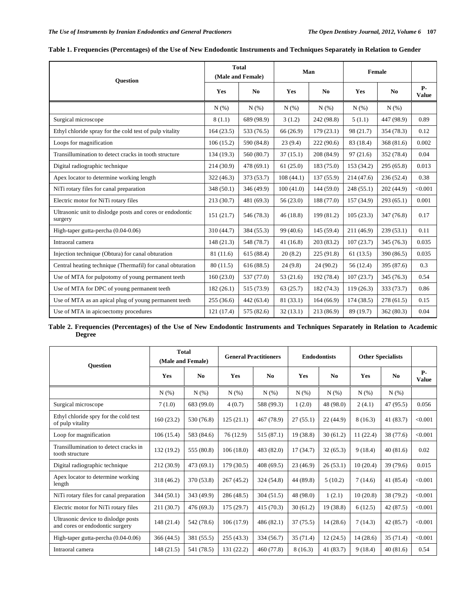| <b>Ouestion</b>                                                      |            | <b>Total</b><br>(Male and Female) | Man       |                | Female     |                |                           |
|----------------------------------------------------------------------|------------|-----------------------------------|-----------|----------------|------------|----------------|---------------------------|
|                                                                      | Yes        | N <sub>0</sub>                    | Yes       | N <sub>0</sub> | Yes        | N <sub>0</sub> | <b>P-</b><br><b>Value</b> |
|                                                                      | N(%)       | N(%)                              | N(%)      | N(% )          | N(% )      | N(% )          |                           |
| Surgical microscope                                                  | 8(1.1)     | 689 (98.9)                        | 3(1.2)    | 242 (98.8)     | 5(1.1)     | 447 (98.9)     | 0.89                      |
| Ethyl chloride spray for the cold test of pulp vitality              | 164(23.5)  | 533 (76.5)                        | 66 (26.9) | 179(23.1)      | 98 (21.7)  | 354 (78.3)     | 0.12                      |
| Loops for magnification                                              | 106(15.2)  | 590 (84.8)                        | 23(9.4)   | 222(90.6)      | 83 (18.4)  | 368 (81.6)     | 0.002                     |
| Transillumination to detect cracks in tooth structure                | 134 (19.3) | 560 (80.7)                        | 37(15.1)  | 208 (84.9)     | 97(21.6)   | 352 (78.4)     | 0.04                      |
| Digital radiographic technique                                       | 214 (30.9) | 478 (69.1)                        | 61(25.0)  | 183(75.0)      | 153 (34.2) | 295 (65.8)     | 0.013                     |
| Apex locator to determine working length                             | 322(46.3)  | 373 (53.7)                        | 108(44.1) | 137(55.9)      | 214 (47.6) | 236 (52.4)     | 0.38                      |
| NiTi rotary files for canal preparation                              | 348 (50.1) | 346 (49.9)                        | 100(41.0) | 144(59.0)      | 248(55.1)  | 202 (44.9)     | < 0.001                   |
| Electric motor for NiTi rotary files                                 | 213 (30.7) | 481 (69.3)                        | 56(23.0)  | 188 (77.0)     | 157 (34.9) | 293(65.1)      | 0.001                     |
| Ultrasonic unit to dislodge posts and cores or endodontic<br>surgery | 151(21.7)  | 546 (78.3)                        | 46(18.8)  | 199 (81.2)     | 105(23.3)  | 347 (76.8)     | 0.17                      |
| High-taper gutta-percha (0.04-0.06)                                  | 310 (44.7) | 384 (55.3)                        | 99 (40.6) | 145(59.4)      | 211 (46.9) | 239 (53.1)     | 0.11                      |
| Intraoral camera                                                     | 148(21.3)  | 548 (78.7)                        | 41(16.8)  | 203(83.2)      | 107(23.7)  | 345 (76.3)     | 0.035                     |
| Injection technique (Obtura) for canal obturation                    | 81 (11.6)  | 615(88.4)                         | 20(8.2)   | 225(91.8)      | 61(13.5)   | 390 (86.5)     | 0.035                     |
| Central heating technique (Thermafil) for canal obturation           | 80(11.5)   | 616(88.5)                         | 24(9.8)   | 24 (90.2)      | 56(12.4)   | 395 (87.6)     | 0.3                       |
| Use of MTA for pulpotomy of young permanent teeth                    | 160(23.0)  | 537 (77.0)                        | 53 (21.6) | 192 (78.4)     | 107(23.7)  | 345 (76.3)     | 0.54                      |
| Use of MTA for DPC of young permanent teeth                          | 182(26.1)  | 515 (73.9)                        | 63(25.7)  | 182 (74.3)     | 119(26.3)  | 333 (73.7)     | 0.86                      |
| Use of MTA as an apical plug of young permanent teeth                | 255(36.6)  | 442 (63.4)                        | 81 (33.1) | 164(66.9)      | 174(38.5)  | 278(61.5)      | 0.15                      |
| Use of MTA in apicoectomy procedures                                 | 121 (17.4) | 575 (82.6)                        | 32(13.1)  | 213 (86.9)     | 89 (19.7)  | 362(80.3)      | 0.04                      |

|  |  | Table 1. Frequencies (Percentages) of the Use of New Endodontic Instruments and Techniques Separately in Relation to Gender |
|--|--|-----------------------------------------------------------------------------------------------------------------------------|
|  |  |                                                                                                                             |

**Table 2. Frequencies (Percentages) of the Use of New Endodontic Instruments and Techniques Separately in Relation to Academic Degree** 

| <b>Ouestion</b>                                                        | <b>Total</b><br>(Male and Female) |                | <b>General Practitioners</b> |            | <b>Endodontists</b> |                | <b>Other Specialists</b> |                |                           |
|------------------------------------------------------------------------|-----------------------------------|----------------|------------------------------|------------|---------------------|----------------|--------------------------|----------------|---------------------------|
|                                                                        | Yes                               | N <sub>0</sub> | Yes                          | No         | Yes                 | N <sub>0</sub> | Yes                      | N <sub>0</sub> | <b>P-</b><br><b>Value</b> |
|                                                                        | $N(\%)$                           | N(% )          | $N(\%)$                      | N(% )      | N(%)                | N(% )          | N(%)                     | $N(\%)$        |                           |
| Surgical microscope                                                    | 7(1.0)                            | 683 (99.0)     | 4(0.7)                       | 588 (99.3) | 1(2.0)              | 48 (98.0)      | 2(4.1)                   | 47(95.5)       | 0.056                     |
| Ethyl chloride spry for the cold test<br>of pulp vitality              | 160(23.2)                         | 530 (76.8)     | 125(21.1)                    | 467 (78.9) | 27(55.1)            | 22(44.9)       | 8(16.3)                  | 41 (83.7)      | < 0.001                   |
| Loop for magnification                                                 | 106(15.4)                         | 583 (84.6)     | 76(12.9)                     | 515(87.1)  | 19(38.8)            | 30(61.2)       | 11(22.4)                 | 38 (77.6)      | < 0.001                   |
| Transillumination to detect cracks in<br>tooth structure               | 132 (19.2)                        | 555 (80.8)     | 106(18.0)                    | 483 (82.0) | 17(34.7)            | 32(65.3)       | 9(18.4)                  | 40(81.6)       | 0.02                      |
| Digital radiographic technique                                         | 212 (30.9)                        | 473 (69.1)     | 179(30.5)                    | 408(69.5)  | 23(46.9)            | 26(53.1)       | 10(20.4)                 | 39(79.6)       | 0.015                     |
| Apex locator to determine working<br>length                            | 318 (46.2)                        | 370 (53.8)     | 267(45.2)                    | 324 (54.8) | 44 (89.8)           | 5(10.2)        | 7(14.6)                  | 41 (85.4)      | < 0.001                   |
| NiTi rotary files for canal preparation                                | 344(50.1)                         | 343 (49.9)     | 286(48.5)                    | 304(51.5)  | 48 (98.0)           | 1(2.1)         | 10(20.8)                 | 38 (79.2)      | < 0.001                   |
| Electric motor for NiTi rotary files                                   | 211(30.7)                         | 476 (69.3)     | 175(29.7)                    | 415(70.3)  | 30(61.2)            | 19 (38.8)      | 6(12.5)                  | 42(87.5)       | < 0.001                   |
| Ultrasonic device to dislodge posts<br>and cores or endodontic surgery | 148 (21.4)                        | 542 (78.6)     | 106(17.9)                    | 486(82.1)  | 37(75.5)            | 14(28.6)       | 7(14.3)                  | 42(85.7)       | < 0.001                   |
| High-taper gutta-percha $(0.04-0.06)$                                  | 366(44.5)                         | 381 (55.5)     | 255(43.3)                    | 334 (56.7) | 35(71.4)            | 12(24.5)       | 14(28.6)                 | 35(71.4)       | < 0.001                   |
| Intraoral camera                                                       | 148(21.5)                         | 541 (78.5)     | 131 (22.2)                   | 460 (77.8) | 8(16.3)             | 41 (83.7)      | 9(18.4)                  | 40(81.6)       | 0.54                      |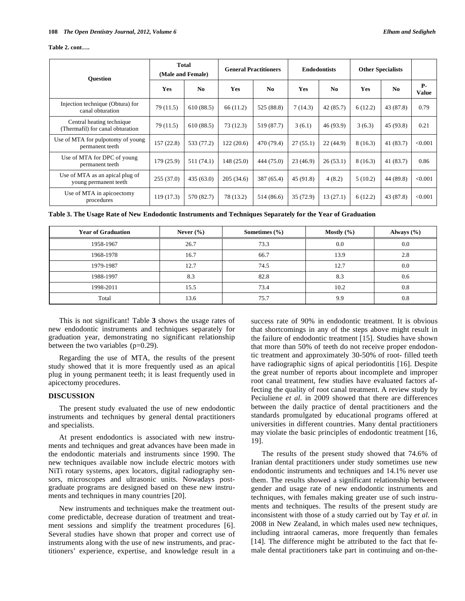#### **Table 2. cont….**

| <b>Ouestion</b>                                               | <b>Total</b><br>(Male and Female) |                | <b>General Practitioners</b> |            | <b>Endodontists</b> |                | <b>Other Specialists</b> |                        |                           |
|---------------------------------------------------------------|-----------------------------------|----------------|------------------------------|------------|---------------------|----------------|--------------------------|------------------------|---------------------------|
|                                                               | Yes                               | N <sub>0</sub> | <b>Yes</b>                   | $\bf No$   | <b>Yes</b>          | N <sub>0</sub> | <b>Yes</b>               | $\mathbf{N}\mathbf{0}$ | <b>P-</b><br><b>Value</b> |
| Injection technique (Obtura) for<br>canal obturation          | 79 (11.5)                         | 610(88.5)      | 66 (11.2)                    | 525 (88.8) | 7(14.3)             | 42(85.7)       | 6(12.2)                  | 43 (87.8)              | 0.79                      |
| Central heating technique<br>(Thermafil) for canal obturation | 79 (11.5)                         | 610(88.5)      | 73(12.3)                     | 519 (87.7) | 3(6.1)              | 46 (93.9)      | 3(6.3)                   | 45 (93.8)              | 0.21                      |
| Use of MTA for pulpotomy of young<br>permanent teeth          | 157(22.8)                         | 533 (77.2)     | 122(20.6)                    | 470 (79.4) | 27(55.1)            | 22(44.9)       | 8(16.3)                  | 41 (83.7)              | < 0.001                   |
| Use of MTA for DPC of young<br>permanent teeth                | 179(25.9)                         | 511 (74.1)     | 148(25.0)                    | 444 (75.0) | 23(46.9)            | 26(53.1)       | 8(16.3)                  | 41 (83.7)              | 0.86                      |
| Use of MTA as an apical plug of<br>young permanent teeth      | 255(37.0)                         | 435(63.0)      | 205(34.6)                    | 387 (65.4) | 45 (91.8)           | 4(8.2)         | 5(10.2)                  | 44 (89.8)              | < 0.001                   |
| Use of MTA in apicoectomy<br>procedures                       | 119 (17.3)                        | 570 (82.7)     | 78 (13.2)                    | 514 (86.6) | 35 (72.9)           | 13(27.1)       | 6(12.2)                  | 43 (87.8)              | < 0.001                   |

**Table 3. The Usage Rate of New Endodontic Instruments and Techniques Separately for the Year of Graduation** 

| <b>Year of Graduation</b> | Never $(\% )$ | Sometimes $(\% )$ | Mostly $(\% )$ | Always $(\% )$ |
|---------------------------|---------------|-------------------|----------------|----------------|
| 1958-1967                 | 26.7          | 73.3              | 0.0            | 0.0            |
| 1968-1978                 | 16.7          | 66.7              | 13.9           | 2.8            |
| 1979-1987                 | 12.7          | 74.5              | 12.7           | 0.0            |
| 1988-1997                 | 8.3           | 82.8              | 8.3            | 0.6            |
| 1998-2011                 | 15.5          | 73.4              | 10.2           | 0.8            |
| Total                     | 13.6          | 75.7              | 9.9            | 0.8            |

This is not significant! Table **3** shows the usage rates of new endodontic instruments and techniques separately for graduation year, demonstrating no significant relationship between the two variables  $(p=0.29)$ .

Regarding the use of MTA, the results of the present study showed that it is more frequently used as an apical plug in young permanent teeth; it is least frequently used in apicectomy procedures.

#### **DISCUSSION**

The present study evaluated the use of new endodontic instruments and techniques by general dental practitioners and specialists.

At present endodontics is associated with new instruments and techniques and great advances have been made in the endodontic materials and instruments since 1990. The new techniques available now include electric motors with NiTi rotary systems, apex locators, digital radiography sensors, microscopes and ultrasonic units. Nowadays postgraduate programs are designed based on these new instruments and techniques in many countries [20].

New instruments and techniques make the treatment outcome predictable, decrease duration of treatment and treatment sessions and simplify the treatment procedures [6]. Several studies have shown that proper and correct use of instruments along with the use of new instruments, and practitioners' experience, expertise, and knowledge result in a success rate of 90% in endodontic treatment. It is obvious that shortcomings in any of the steps above might result in the failure of endodontic treatment [15]. Studies have shown that more than 50% of teeth do not receive proper endodontic treatment and approximately 30-50% of root- filled teeth have radiographic signs of apical periodontitis [16]. Despite the great number of reports about incomplete and improper root canal treatment, few studies have evaluated factors affecting the quality of root canal treatment. A review study by Peciuliene *et al*. in 2009 showed that there are differences between the daily practice of dental practitioners and the standards promulgated by educational programs offered at universities in different countries. Many dental practitioners may violate the basic principles of endodontic treatment [16, 19].

The results of the present study showed that 74.6% of Iranian dental practitioners under study sometimes use new endodontic instruments and techniques and 14.1% never use them. The results showed a significant relationship between gender and usage rate of new endodontic instruments and techniques, with females making greater use of such instruments and techniques. The results of the present study are inconsistent with those of a study carried out by Tay *et al*. in 2008 in New Zealand, in which males used new techniques, including intraoral cameras, more frequently than females [14]. The difference might be attributed to the fact that female dental practitioners take part in continuing and on-the-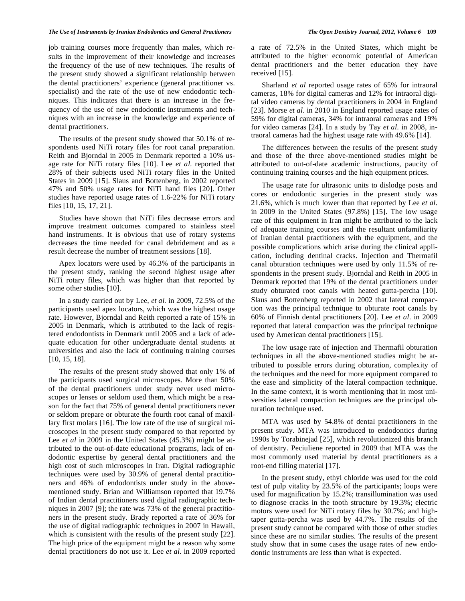#### *The Use of Instruments by Iranian Endodontics and General Practioners The Open Dentistry Journal, 2012, Volume 6* **109**

job training courses more frequently than males, which results in the improvement of their knowledge and increases the frequency of the use of new techniques. The results of the present study showed a significant relationship between the dental practitioners' experience (general practitioner vs. specialist) and the rate of the use of new endodontic techniques. This indicates that there is an increase in the frequency of the use of new endodontic instruments and techniques with an increase in the knowledge and experience of dental practitioners.

The results of the present study showed that 50.1% of respondents used NiTi rotary files for root canal preparation. Reith and Bjorndal in 2005 in Denmark reported a 10% usage rate for NiTi rotary files [10]. Lee *et al*. reported that 28% of their subjects used NiTi rotary files in the United States in 2009 [15]. Slaus and Bottenberg, in 2002 reported 47% and 50% usage rates for NiTi hand files [20]. Other studies have reported usage rates of 1.6-22% for NiTi rotary files [10, 15, 17, 21].

Studies have shown that NiTi files decrease errors and improve treatment outcomes compared to stainless steel hand instruments. It is obvious that use of rotary systems decreases the time needed for canal debridement and as a result decrease the number of treatment sessions [18].

Apex locators were used by 46.3% of the participants in the present study, ranking the second highest usage after NiTi rotary files, which was higher than that reported by some other studies [10].

In a study carried out by Lee, *et al.* in 2009, 72.5% of the participants used apex locators, which was the highest usage rate. However, Bjorndal and Reith reported a rate of 15% in 2005 in Denmark, which is attributed to the lack of registered endodontists in Denmark until 2005 and a lack of adequate education for other undergraduate dental students at universities and also the lack of continuing training courses [10, 15, 18].

The results of the present study showed that only 1% of the participants used surgical microscopes. More than 50% of the dental practitioners under study never used microscopes or lenses or seldom used them, which might be a reason for the fact that 75% of general dental practitioners never or seldom prepare or obturate the fourth root canal of maxillary first molars [16]. The low rate of the use of surgical microscopes in the present study compared to that reported by Lee *et al* in 2009 in the United States (45.3%) might be attributed to the out-of-date educational programs, lack of endodontic expertise by general dental practitioners and the high cost of such microscopes in Iran. Digital radiographic techniques were used by 30.9% of general dental practitioners and 46% of endodontists under study in the abovementioned study. Brian and Williamson reported that 19.7% of Indian dental practitioners used digital radiographic techniques in 2007 [9]; the rate was 73% of the general practitioners in the present study. Brady reported a rate of 36% for the use of digital radiographic techniques in 2007 in Hawaii, which is consistent with the results of the present study [22]. The high price of the equipment might be a reason why some dental practitioners do not use it. Lee *et al*. in 2009 reported a rate of 72.5% in the United States, which might be attributed to the higher economic potential of American dental practitioners and the better education they have received [15].

Sharland *et al* reported usage rates of 65% for intraoral cameras, 18% for digital cameras and 12% for intraoral digital video cameras by dental practitioners in 2004 in England [23]. Morse *et al*. in 2010 in England reported usage rates of 59% for digital cameras, 34% for intraoral cameras and 19% for video cameras [24]. In a study by Tay *et al*. in 2008, intraoral cameras had the highest usage rate with 49.6% [14].

The differences between the results of the present study and those of the three above-mentioned studies might be attributed to out-of-date academic instructions, paucity of continuing training courses and the high equipment prices.

The usage rate for ultrasonic units to dislodge posts and cores or endodontic surgeries in the present study was 21.6%, which is much lower than that reported by Lee *et al*. in 2009 in the United States (97.8%) [15]. The low usage rate of this equipment in Iran might be attributed to the lack of adequate training courses and the resultant unfamiliarity of Iranian dental practitioners with the equipment, and the possible complications which arise during the clinical application, including dentinal cracks. Injection and Thermafil canal obturation techniques were used by only 11.5% of respondents in the present study. Bjorndal and Reith in 2005 in Denmark reported that 19% of the dental practitioners under study obturated root canals with heated gutta-percha [10]. Slaus and Bottenberg reported in 2002 that lateral compaction was the principal technique to obturate root canals by 60% of Finnish dental practitioners [20]. Lee *et al*. in 2009 reported that lateral compaction was the principal technique used by American dental practitioners [15].

The low usage rate of injection and Thermafil obturation techniques in all the above-mentioned studies might be attributed to possible errors during obturation, complexity of the techniques and the need for more equipment compared to the ease and simplicity of the lateral compaction technique. In the same context, it is worth mentioning that in most universities lateral compaction techniques are the principal obturation technique used.

MTA was used by 54.8% of dental practitioners in the present study. MTA was introduced to endodontics during 1990s by Torabinejad [25], which revolutionized this branch of dentistry. Peciuliene reported in 2009 that MTA was the most commonly used material by dental practitioners as a root-end filling material [17].

In the present study, ethyl chloride was used for the cold test of pulp vitality by 23.5% of the participants; loops were used for magnification by 15.2%; transillumination was used to diagnose cracks in the tooth structure by 19.3%; electric motors were used for NiTi rotary files by 30.7%; and hightaper gutta-percha was used by 44.7%. The results of the present study cannot be compared with those of other studies since these are no similar studies. The results of the present study show that in some cases the usage rates of new endodontic instruments are less than what is expected.